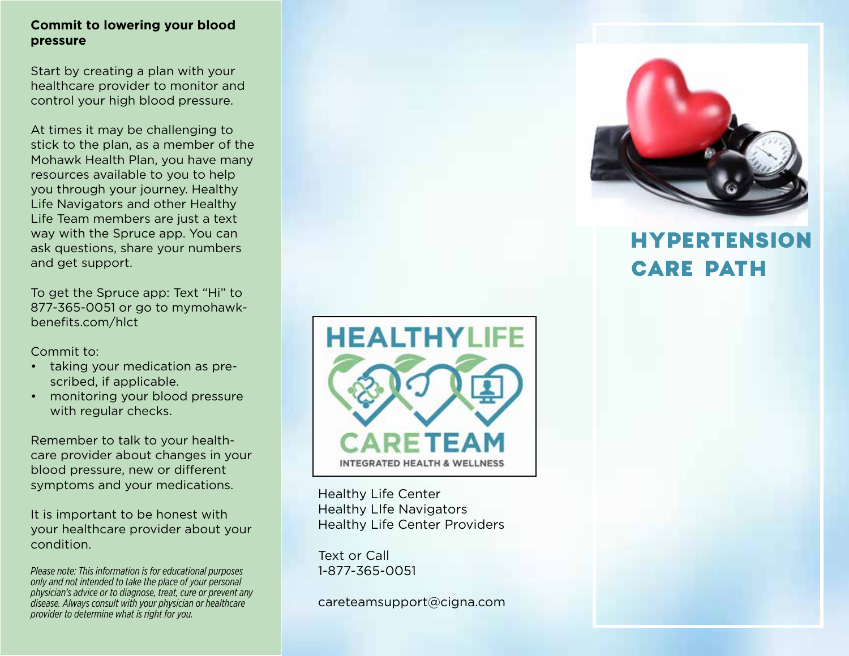#### **Commit to lowering your blood pressure**

Start by creating a plan with your healthcare provider to monitor and control your high blood pressure.

At times it may be challenging to stick to the plan, as a member of the Mohawk Health Plan, you have many resources available to you to help you through your journey. Healthy Life Navigators and other Healthy Life Team members are just a text way with the Spruce app. You can ask questions, share your numbers and get support.

To get the Spruce app: Text "Hi" to 877-365-0051 or go to mymohawkbenefits.com/hlct

Commit to:

- taking your medication as prescribed, if applicable.
- monitoring your blood pressure with regular checks.

Remember to talk to your healthcare provider about changes in your blood pressure, new or different symptoms and your medications.

It is important to be honest with your healthcare provider about your condition.

*Please note: This information is for educational purposes only and not intended to take the place of your personal physician's advice or to diagnose, treat, cure or prevent any disease. Always consult with your physician or healthcare provider to determine what is right for you.*



Healthy Life Center Healthy LIfe Navigators Healthy Life Center Providers

Text or Call 1-877-365-0051

careteamsupport@cigna.com



# HYPERTENSION CARE PATH